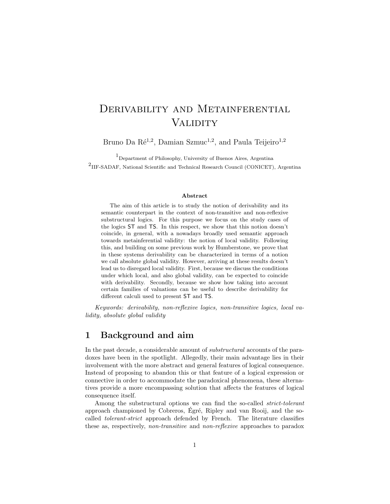# DERIVABILITY AND METAINFERENTIAL **VALIDITY**

Bruno Da  $\mathrm{R\acute{e}^{1,2}}$ , Damian Szmuc<sup>1,2</sup>, and Paula Teijeiro<sup>1,2</sup>

1Department of Philosophy, University of Buenos Aires, Argentina 2 IIF-SADAF, National Scientific and Technical Research Council (CONICET), Argentina

#### Abstract

The aim of this article is to study the notion of derivability and its semantic counterpart in the context of non-transitive and non-reflexive substructural logics. For this purpose we focus on the study cases of the logics ST and TS. In this respect, we show that this notion doesn't coincide, in general, with a nowadays broadly used semantic approach towards metainferential validity: the notion of local validity. Following this, and building on some previous work by Humberstone, we prove that in these systems derivability can be characterized in terms of a notion we call absolute global validity. However, arriving at these results doesn't lead us to disregard local validity. First, because we discuss the conditions under which local, and also global validity, can be expected to coincide with derivability. Secondly, because we show how taking into account certain families of valuations can be useful to describe derivability for different calculi used to present ST and TS.

Keywords: derivability, non-reflexive logics, non-transitive logics, local validity, absolute global validity

# 1 Background and aim

In the past decade, a considerable amount of substructural accounts of the paradoxes have been in the spotlight. Allegedly, their main advantage lies in their involvement with the more abstract and general features of logical consequence. Instead of proposing to abandon this or that feature of a logical expression or connective in order to accommodate the paradoxical phenomena, these alternatives provide a more encompassing solution that affects the features of logical consequence itself.

Among the substructural options we can find the so-called strict-tolerant approach championed by Cobreros, Égré, Ripley and van Rooij, and the socalled tolerant-strict approach defended by French. The literature classifies these as, respectively, non-transitive and non-reflexive approaches to paradox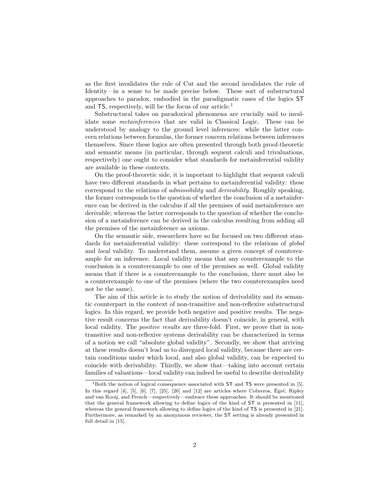as the first invalidates the rule of Cut and the second invalidates the rule of Identity—in a sense to be made precise below. These sort of substructural approaches to paradox, embodied in the paradigmatic cases of the logics ST and  $TS$ , respectively, will be the focus of our article.<sup>1</sup>

Substructural takes on paradoxical phenomena are crucially said to invalidate some metainferences that are valid in Classical Logic. These can be understood by analogy to the ground level inferences: while the latter concern relations between formulas, the former concern relations between inferences themselves. Since these logics are often presented through both proof-theoretic and semantic means (in particular, through sequent calculi and trivaluations, respectively) one ought to consider what standards for metainferential validity are available in these contexts.

On the proof-theoretic side, it is important to highlight that sequent calculi have two different standards in what pertains to metainferential validity: these correspond to the relations of admissibility and derivability. Roughly speaking, the former corresponds to the question of whether the conclusion of a metainference can be derived in the calculus if all the premises of said metainference are derivable; whereas the latter corresponds to the question of whether the conclusion of a metainference can be derived in the calculus resulting from adding all the premises of the metainference as axioms.

On the semantic side, researchers have so far focused on two different standards for metainferential validity: these correspond to the relations of global and local validity. To understand them, assume a given concept of counterexample for an inference. Local validity means that any counterexample to the conclusion is a counterexample to one of the premises as well. Global validity means that if there is a counterexample to the conclusion, there must also be a counterexample to one of the premises (where the two counterexamples need not be the same).

The aim of this article is to study the notion of derivability and its semantic counterpart in the context of non-transitive and non-reflexive substructural logics. In this regard, we provide both negative and positive results. The negative result concerns the fact that derivability doesn't coincide, in general, with local validity. The *positive results* are three-fold. First, we prove that in nontransitive and non-reflexive systems derivability can be characterized in terms of a notion we call "absolute global validity". Secondly, we show that arriving at these results doesn't lead us to disregard local validity, because there are certain conditions under which local, and also global validity, can be expected to coincide with derivability. Thirdly, we show that—taking into account certain families of valuations—local validity can indeed be useful to describe derivability

 $1$ Both the notion of logical consequence associated with ST and TS were presented in [5]. In this regard  $[4]$ ,  $[5]$ ,  $[6]$ ,  $[7]$ ,  $[25]$ ,  $[26]$  and  $[12]$  are articles where Cobreros, Égré, Ripley and van Rooij, and French—respectively—embrace these approaches. It should be mentioned that the general framework allowing to define logics of the kind of ST is presented in [11], whereas the general framework allowing to define logics of the kind of TS is presented in [21]. Furthermore, as remarked by an anonymous reviewer, the ST setting is already presented in full detail in [15].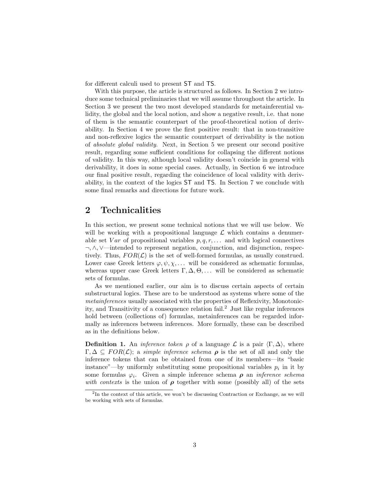for different calculi used to present ST and TS.

With this purpose, the article is structured as follows. In Section 2 we introduce some technical preliminaries that we will assume throughout the article. In Section 3 we present the two most developed standards for metainferential validity, the global and the local notion, and show a negative result, i.e. that none of them is the semantic counterpart of the proof-theoretical notion of derivability. In Section 4 we prove the first positive result: that in non-transitive and non-reflexive logics the semantic counterpart of derivability is the notion of absolute global validity. Next, in Section 5 we present our second positive result, regarding some sufficient conditions for collapsing the different notions of validity. In this way, although local validity doesn't coincide in general with derivability, it does in some special cases. Actually, in Section 6 we introduce our final positive result, regarding the coincidence of local validity with derivability, in the context of the logics ST and TS. In Section 7 we conclude with some final remarks and directions for future work.

# 2 Technicalities

In this section, we present some technical notions that we will use below. We will be working with a propositional language  $\mathcal L$  which contains a denumerable set Var of propositional variables  $p, q, r, \ldots$  and with logical connectives ¬, ∧, ∨—intended to represent negation, conjunction, and disjunction, respectively. Thus,  $FOR(\mathcal{L})$  is the set of well-formed formulas, as usually construed. Lower case Greek letters  $\varphi, \psi, \chi, \ldots$  will be considered as schematic formulas, whereas upper case Greek letters  $\Gamma, \Delta, \Theta, \ldots$  will be considered as schematic sets of formulas.

As we mentioned earlier, our aim is to discuss certain aspects of certain substructural logics. These are to be understood as systems where some of the metainferences usually associated with the properties of Reflexivity, Monotonicity, and Transitivity of a consequence relation fail.<sup>2</sup> Just like regular inferences hold between (collections of) formulas, metainferences can be regarded informally as inferences between inferences. More formally, these can be described as in the definitions below.

**Definition 1.** An *inference token*  $\rho$  of a language  $\mathcal{L}$  is a pair  $\langle \Gamma, \Delta \rangle$ , where  $\Gamma, \Delta \subseteq FOR(\mathcal{L})$ ; a *simple inference schema*  $\rho$  is the set of all and only the inference tokens that can be obtained from one of its members—its "basic instance"—by uniformly substituting some propositional variables  $p_i$  in it by some formulas  $\varphi_i$ . Given a simple inference schema  $\rho$  an *inference schema* with contexts is the union of  $\rho$  together with some (possibly all) of the sets

<sup>&</sup>lt;sup>2</sup>In the context of this article, we won't be discussing Contraction or Exchange, as we will be working with sets of formulas.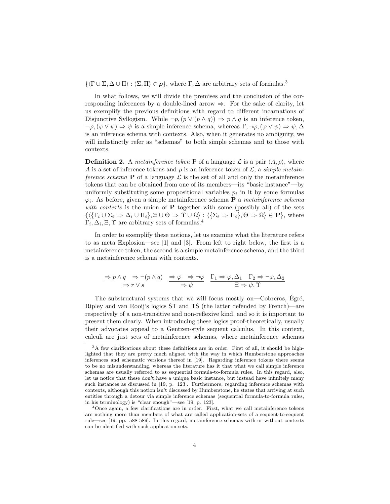$\{\langle \Gamma \cup \Sigma, \Delta \cup \Pi \rangle : \langle \Sigma, \Pi \rangle \in \rho\}$ , where  $\Gamma, \Delta$  are arbitrary sets of formulas.<sup>3</sup>

In what follows, we will divide the premises and the conclusion of the corresponding inferences by a double-lined arrow  $\Rightarrow$ . For the sake of clarity, let us exemplify the previous definitions with regard to different incarnations of Disjunctive Syllogism. While  $\neg p, (p \lor (p \land q)) \Rightarrow p \land q$  is an inference token,  $\neg \varphi, (\varphi \vee \psi) \Rightarrow \psi$  is a simple inference schema, whereas  $\Gamma, \neg \varphi, (\varphi \vee \psi) \Rightarrow \psi, \Delta$ is an inference schema with contexts. Also, when it generates no ambiguity, we will indistinctly refer as "schemas" to both simple schemas and to those with contexts.

**Definition 2.** A metainference token P of a language  $\mathcal{L}$  is a pair  $\langle A, \rho \rangle$ , where A is a set of inference tokens and  $\rho$  is an inference token of  $\mathcal{L}$ ; a simple metainference schema **P** of a language  $\mathcal{L}$  is the set of all and only the metainference tokens that can be obtained from one of its members—its "basic instance"—by uniformly substituting some propositional variables  $p_i$  in it by some formulas  $\varphi_i$ . As before, given a simple metainference schema **P** a metainference schema with contexts is the union of  $P$  together with some (possibly all) of the sets  $\{\langle {\{\Gamma_i \cup \Sigma_i \Rightarrow \Delta_i \cup \Pi_i\}}, \Xi \cup \Theta \Rightarrow \Upsilon \cup \Omega \rangle : \langle {\{\Sigma_i \Rightarrow \Pi_i\}}, \Theta \Rightarrow \Omega \rangle \in \mathbf{P} \}, \text{ where }$  $\Gamma_i, \Delta_i, \Xi, \Upsilon$  are arbitrary sets of formulas.<sup>4</sup>

In order to exemplify these notions, let us examine what the literature refers to as meta Explosion—see [1] and [3]. From left to right below, the first is a metainference token, the second is a simple metainference schema, and the third is a metainference schema with contexts.

$$
\frac{\Rightarrow p \land q \Rightarrow \neg(p \land q)}{\Rightarrow r \lor s} \xrightarrow{\Rightarrow \varphi \Rightarrow \neg \varphi} \frac{\Gamma_1 \Rightarrow \varphi, \Delta_1 \quad \Gamma_2 \Rightarrow \neg \varphi, \Delta_2}{\Xi \Rightarrow \psi, \Upsilon}
$$

The substructural systems that we will focus mostly on—Cobreros, Egré, Ripley and van Rooij's logics ST and TS (the latter defended by French)—are respectively of a non-transitive and non-reflexive kind, and so it is important to present them clearly. When introducing these logics proof-theoretically, usually their advocates appeal to a Gentzen-style sequent calculus. In this context, calculi are just sets of metainference schemas, where metainference schemas

 $3A$  few clarifications about these definitions are in order. First of all, it should be highlighted that they are pretty much aligned with the way in which Humberstone approaches inferences and schematic versions thereof in [19]. Regarding inference tokens there seems to be no misunderstanding, whereas the literature has it that what we call simple inference schemas are usually referred to as sequential formula-to-formula rules. In this regard, also, let us notice that these don't have a unique basic instance, but instead have infinitely many such instances as discussed in [19, p. 123]. Furthermore, regarding inference schemas with contexts, although this notion isn't discussed by Humberstone, he states that arriving at such entities through a detour via simple inference schemas (sequential formula-to-formula rules, in his terminology) is "clear enough"—see [19, p. 123].

<sup>4</sup>Once again, a few clarifications are in order. First, what we call metainference tokens are nothing more than members of what are called application-sets of a sequent-to-sequent rule—see [19, pp. 588-589]. In this regard, metainference schemas with or without contexts can be identified with such application-sets.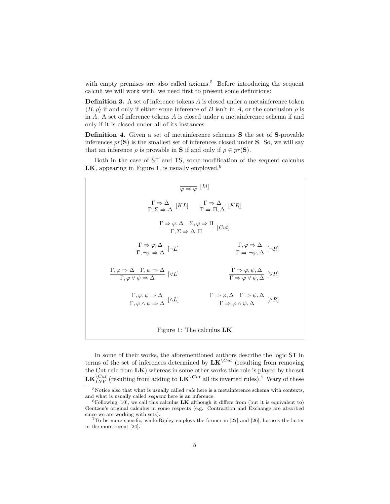with empty premises are also called axioms.<sup>5</sup> Before introducing the sequent calculi we will work with, we need first to present some definitions:

**Definition 3.** A set of inference tokens  $A$  is closed under a metainference token  $\langle B, \rho \rangle$  if and only if either some inference of B isn't in A, or the conclusion  $\rho$  is in A. A set of inference tokens A is closed under a metainference schema if and only if it is closed under all of its instances.

Definition 4. Given a set of metainference schemas S the set of S-provable inferences  $pr(S)$  is the smallest set of inferences closed under S. So, we will say that an inference  $\rho$  is provable in **S** if and only if  $\rho \in pr(\mathbf{S})$ .

Both in the case of ST and TS, some modification of the sequent calculus LK, appearing in Figure 1, is usually employed.<sup>6</sup>

| $\varphi \Rightarrow \varphi$ [Id]                                                                                                                    |                                                                                                                                              |
|-------------------------------------------------------------------------------------------------------------------------------------------------------|----------------------------------------------------------------------------------------------------------------------------------------------|
| $\frac{\Gamma \Rightarrow \Delta}{\Gamma \Sigma \Rightarrow \Delta} [KL] \qquad \frac{\Gamma \Rightarrow \Delta}{\Gamma \Rightarrow \Pi \Delta} [KR]$ |                                                                                                                                              |
| $\frac{\Gamma \Rightarrow \varphi, \Delta \quad \Sigma, \varphi \Rightarrow \Pi}{\Gamma, \Sigma \Rightarrow \Delta, \Pi} [Cut]$                       |                                                                                                                                              |
| $\frac{\Gamma \Rightarrow \varphi, \Delta}{\Gamma \neg \varphi \Rightarrow \Delta} [\neg L]$                                                          | $\frac{\Gamma, \varphi \Rightarrow \Delta}{\Gamma \Rightarrow \neg \varphi, \Delta} [\neg R]$                                                |
| $\frac{\Gamma, \varphi \Rightarrow \Delta \quad \Gamma, \psi \Rightarrow \Delta}{\Gamma, \varphi \vee \psi \Rightarrow \Delta} [\vee L]$              | $\frac{\Gamma \Rightarrow \varphi, \psi, \Delta}{\Gamma \Rightarrow \varphi \vee \psi, \Delta} [\vee R]$                                     |
| $\frac{\Gamma, \varphi, \psi \Rightarrow \Delta}{\Gamma, \varphi \wedge \psi \Rightarrow \Delta} [\wedge L]$                                          | $\frac{\Gamma \Rightarrow \varphi, \Delta \quad \Gamma \Rightarrow \psi, \Delta}{\Gamma \Rightarrow \varphi \wedge \psi, \Delta} [\wedge R]$ |
| Figure 1: The calculus $LK$                                                                                                                           |                                                                                                                                              |

In some of their works, the aforementioned authors describe the logic ST in terms of the set of inferences determined by  $LK^{\setminus Cut}$  (resulting from removing the Cut rule from  $LK$ ) whereas in some other works this role is played by the set  $\mathbf{LK}_{INV}^{(Cut)}$  (resulting from adding to  $\mathbf{LK}^{(Cut)}$  all its inverted rules).<sup>7</sup> Wary of these

 $5$ Notice also that what is usually called *rule* here is a metainference schema with contexts, and what is usually called sequent here is an inference.

 ${}^{6}$ Following [10], we call this calculus **LK** although it differs from (but it is equivalent to) Gentzen's original calculus in some respects (e.g. Contraction and Exchange are absorbed since we are working with sets).

 $7T\sigma$  be more specific, while Ripley employs the former in [27] and [26], he uses the latter in the more recent [24].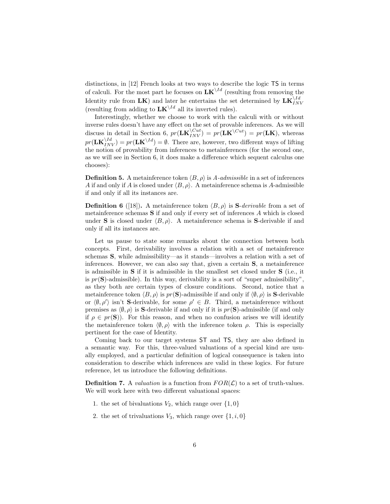distinctions, in [12] French looks at two ways to describe the logic TS in terms of calculi. For the most part he focuses on  $LK^{\backslash Id}$  (resulting from removing the Identity rule from  $\mathbf{LK}$ ) and later he entertains the set determined by  $\mathbf{LK}_{INV}^{Vld}$ (resulting from adding to  $LK^{\backslash Id}$  all its inverted rules).

Interestingly, whether we choose to work with the calculi with or without inverse rules doesn't have any effect on the set of provable inferences. As we will discuss in detail in Section 6,  $pr(\mathbf{LK}_{INV}^{(Cut)} = pr(\mathbf{LK}^{(Cut)}) = pr(\mathbf{LK}),$  whereas  $pr(\mathbf{LK}_{INV}^{\setminus Id}) = pr(\mathbf{LK}^{\setminus Id}) = \emptyset$ . There are, however, two different ways of lifting the notion of provability from inferences to metainferences (for the second one, as we will see in Section 6, it does make a difference which sequent calculus one chooses):

**Definition 5.** A metainference token  $\langle B, \rho \rangle$  is A-admissible in a set of inferences A if and only if A is closed under  $\langle B, \rho \rangle$ . A metainference schema is A-admissible if and only if all its instances are.

**Definition 6** ([18]). A metainference token  $\langle B, \rho \rangle$  is **S**-derivable from a set of metainference schemas  $S$  if and only if every set of inferences  $A$  which is closed under **S** is closed under  $\langle B, \rho \rangle$ . A metainference schema is **S**-derivable if and only if all its instances are.

Let us pause to state some remarks about the connection between both concepts. First, derivability involves a relation with a set of metainference schemas S, while admissibility—as it stands—involves a relation with a set of inferences. However, we can also say that, given a certain S, a metainference is admissible in S if it is admissible in the smallest set closed under S (i.e., it is  $pr(\mathbf{S})$ -admissible). In this way, derivability is a sort of "super admissibility", as they both are certain types of closure conditions. Second, notice that a metainference token  $\langle B, \rho \rangle$  is pr(S)-admissible if and only if  $\langle \emptyset, \rho \rangle$  is S-derivable or  $\langle \emptyset, \rho' \rangle$  isn't S-derivable, for some  $\rho' \in B$ . Third, a metainference without premises as  $\langle \emptyset, \rho \rangle$  is **S**-derivable if and only if it is  $pr(\mathbf{S})$ -admissible (if and only if  $\rho \in pr(\mathbf{S})$ . For this reason, and when no confusion arises we will identify the metainference token  $\langle \emptyset, \rho \rangle$  with the inference token  $\rho$ . This is especially pertinent for the case of Identity.

Coming back to our target systems ST and TS, they are also defined in a semantic way. For this, three-valued valuations of a special kind are usually employed, and a particular definition of logical consequence is taken into consideration to describe which inferences are valid in these logics. For future reference, let us introduce the following definitions.

**Definition 7.** A *valuation* is a function from  $FOR(\mathcal{L})$  to a set of truth-values. We will work here with two different valuational spaces:

- 1. the set of bivaluations  $V_2$ , which range over  $\{1,0\}$
- 2. the set of trivaluations  $V_3$ , which range over  $\{1, i, 0\}$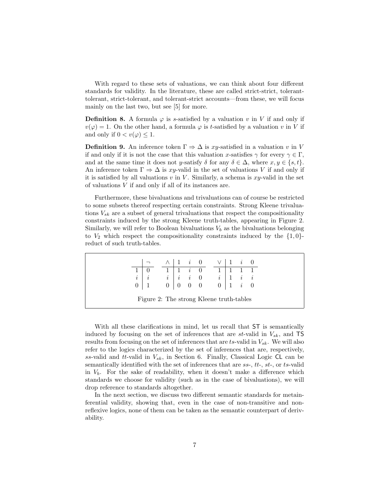With regard to these sets of valuations, we can think about four different standards for validity. In the literature, these are called strict-strict, toleranttolerant, strict-tolerant, and tolerant-strict accounts—from these, we will focus mainly on the last two, but see [5] for more.

**Definition 8.** A formula  $\varphi$  is s-satisfied by a valuation v in V if and only if  $v(\varphi) = 1$ . On the other hand, a formula  $\varphi$  is t-satisfied by a valuation v in V if and only if  $0 < v(\varphi) \leq 1$ .

**Definition 9.** An inference token  $\Gamma \Rightarrow \Delta$  is xy-satisfied in a valuation v in V if and only if it is not the case that this valuation x-satisfies  $\gamma$  for every  $\gamma \in \Gamma$ , and at the same time it does not y-satisfy  $\delta$  for any  $\delta \in \Delta$ , where  $x, y \in \{s, t\}.$ An inference token  $\Gamma \Rightarrow \Delta$  is xy-valid in the set of valuations V if and only if it is satisfied by all valuations  $v$  in  $V$ . Similarly, a schema is  $xy$ -valid in the set of valuations  $V$  if and only if all of its instances are.

Furthermore, these bivaluations and trivaluations can of course be restricted to some subsets thereof respecting certain constraints. Strong Kleene trivaluations  $V_{sk}$  are a subset of general trivaluations that respect the compositionality constraints induced by the strong Kleene truth-tables, appearing in Figure 2. Similarly, we will refer to Boolean bivaluations  $V<sub>b</sub>$  as the bivaluations belonging to  $V_2$  which respect the compositionality constraints induced by the  $\{1, 0\}$ reduct of such truth-tables.

|  |                                                                                                                                                                                                                                               | $\wedge$   1 $i$ 0 $\qquad$ |  |  |  |  |
|--|-----------------------------------------------------------------------------------------------------------------------------------------------------------------------------------------------------------------------------------------------|-----------------------------|--|--|--|--|
|  | $\begin{tabular}{c cccccc} $1$ & $0$ & & $1$ & $1$ & $i$ & $0$ & & $1$ & $1$ & $1$ & $1$ \\ \hline $i$ & $i$ & & $i$ & $i$ & $0$ & & $i$ & $1$ & $i$ & $i$ \\ $0$ & $1$ & & $0$ & $0$ & $0$ & $0$ & & $0$ & $1$ & $i$ & $0$ \\ \end{tabular}$ |                             |  |  |  |  |
|  |                                                                                                                                                                                                                                               |                             |  |  |  |  |
|  |                                                                                                                                                                                                                                               |                             |  |  |  |  |
|  | Figure 2: The strong Kleene truth-tables                                                                                                                                                                                                      |                             |  |  |  |  |

With all these clarifications in mind, let us recall that ST is semantically induced by focusing on the set of inferences that are  $st$ -valid in  $V_{sk}$ , and TS results from focusing on the set of inferences that are  $ts$ -valid in  $V_{sk}$ . We will also refer to the logics characterized by the set of inferences that are, respectively, ss-valid and tt-valid in  $V_{sk}$ , in Section 6. Finally, Classical Logic CL can be semantically identified with the set of inferences that are  $ss$ -,  $tt$ -,  $st$ -, or  $ts$ -valid in  $V_b$ . For the sake of readability, when it doesn't make a difference which standards we choose for validity (such as in the case of bivaluations), we will drop reference to standards altogether.

In the next section, we discuss two different semantic standards for metainferential validity, showing that, even in the case of non-transitive and nonreflexive logics, none of them can be taken as the semantic counterpart of derivability.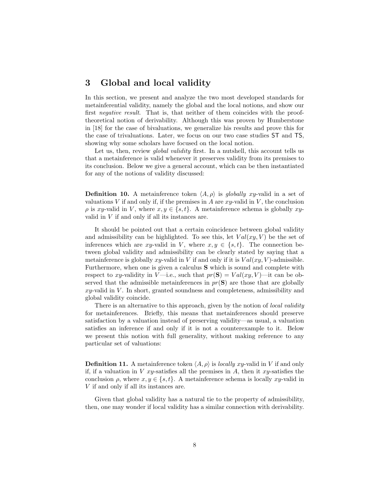### 3 Global and local validity

In this section, we present and analyze the two most developed standards for metainferential validity, namely the global and the local notions, and show our first negative result. That is, that neither of them coincides with the prooftheoretical notion of derivability. Although this was proven by Humberstone in [18] for the case of bivaluations, we generalize his results and prove this for the case of trivaluations. Later, we focus on our two case studies ST and TS, showing why some scholars have focused on the local notion.

Let us, then, review *global validity* first. In a nutshell, this account tells us that a metainference is valid whenever it preserves validity from its premises to its conclusion. Below we give a general account, which can be then instantiated for any of the notions of validity discussed:

**Definition 10.** A metainference token  $\langle A, \rho \rangle$  is globally xy-valid in a set of valuations V if and only if, if the premises in A are  $xy$ -valid in V, the conclusion  $\rho$  is xy-valid in V, where  $x, y \in \{s, t\}$ . A metainference schema is globally xyvalid in  $V$  if and only if all its instances are.

It should be pointed out that a certain coincidence between global validity and admissibility can be highlighted. To see this, let  $Val(xy, V)$  be the set of inferences which are xy-valid in V, where  $x, y \in \{s, t\}$ . The connection between global validity and admissibility can be clearly stated by saying that a metainference is globally  $xy$ -valid in V if and only if it is  $Val(xy, V)$ -admissible. Furthermore, when one is given a calculus S which is sound and complete with respect to xy-validity in V—i.e., such that  $pr(S) = Val(xy, V)$ —it can be observed that the admissible metainferences in  $pr(S)$  are those that are globally  $xy$ -valid in  $V$ . In short, granted soundness and completeness, admissibility and global validity coincide.

There is an alternative to this approach, given by the notion of *local validity* for metainferences. Briefly, this means that metainferences should preserve satisfaction by a valuation instead of preserving validity—as usual, a valuation satisfies an inference if and only if it is not a counterexample to it. Below we present this notion with full generality, without making reference to any particular set of valuations:

**Definition 11.** A metainference token  $\langle A, \rho \rangle$  is *locally xy*-valid in V if and only if, if a valuation in V xy-satisfies all the premises in A, then it xy-satisfies the conclusion  $\rho$ , where  $x, y \in \{s, t\}$ . A metainference schema is locally xy-valid in V if and only if all its instances are.

Given that global validity has a natural tie to the property of admissibility, then, one may wonder if local validity has a similar connection with derivability.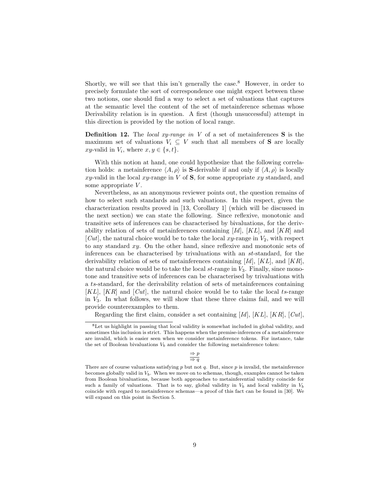Shortly, we will see that this isn't generally the case.<sup>8</sup> However, in order to precisely formulate the sort of correspondence one might expect between these two notions, one should find a way to select a set of valuations that captures at the semantic level the content of the set of metainference schemas whose Derivability relation is in question. A first (though unsuccessful) attempt in this direction is provided by the notion of local range.

**Definition 12.** The local xy-range in V of a set of metainferences  $S$  is the maximum set of valuations  $V_i \subseteq V$  such that all members of **S** are locally xy-valid in  $V_i$ , where  $x, y \in \{s, t\}.$ 

With this notion at hand, one could hypothesize that the following correlation holds: a metainference  $\langle A, \rho \rangle$  is S-derivable if and only if  $\langle A, \rho \rangle$  is locally xy-valid in the local xy-range in V of  $S$ , for some appropriate xy standard, and some appropriate V.

Nevertheless, as an anonymous reviewer points out, the question remains of how to select such standards and such valuations. In this respect, given the characterization results proved in [13, Corollary 1] (which will be discussed in the next section) we can state the following. Since reflexive, monotonic and transitive sets of inferences can be characterised by bivaluations, for the derivability relation of sets of metainferences containing  $[d]$ ,  $[KL]$ , and  $[KR]$  and [Cut], the natural choice would be to take the local xy-range in  $V_2$ , with respect to any standard xy. On the other hand, since reflexive and monotonic sets of inferences can be characterised by trivaluations with an st-standard, for the derivability relation of sets of metainferences containing  $[d]$ ,  $[KL]$ , and  $[KR]$ , the natural choice would be to take the local  $st$ -range in  $V_3$ . Finally, since monotone and transitive sets of inferences can be characterised by trivaluations with a ts-standard, for the derivability relation of sets of metainferences containing  $[KL]$ ,  $[KR]$  and  $[Cut]$ , the natural choice would be to take the local ts-range in  $V_3$ . In what follows, we will show that these three claims fail, and we will provide counterexamples to them.

Regarding the first claim, consider a set containing  $Id$ ,  $[KL]$ ,  $[KR]$ ,  $[Cut]$ ,

<sup>8</sup>Let us highlight in passing that local validity is somewhat included in global validity, and sometimes this inclusion is strict. This happens when the premise-inferences of a metainference are invalid, which is easier seen when we consider metainference tokens. For instance, take the set of Boolean bivaluations  $V_b$  and consider the following metainference token:

 $\Rightarrow p$  $\Rightarrow$  q

There are of course valuations satisfying  $p$  but not  $q$ . But, since  $p$  is invalid, the metainference becomes globally valid in  $V<sub>b</sub>$ . When we move on to schemas, though, examples cannot be taken from Boolean bivaluations, because both approaches to metainferential validity coincide for such a family of valuations. That is to say, global validity in  $V_b$  and local validity in  $V_b$ coincide with regard to metainference schemas—a proof of this fact can be found in [30]. We will expand on this point in Section 5.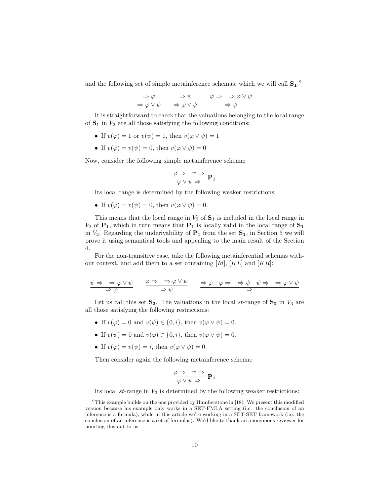and the following set of simple metainference schemas, which we will call  $S_1$ <sup>2</sup>

$$
\frac{\Rightarrow \varphi}{\Rightarrow \varphi \lor \psi} \qquad \frac{\Rightarrow \psi}{\Rightarrow \varphi \lor \psi} \qquad \frac{\varphi \Rightarrow \Rightarrow \varphi \lor \psi}{\Rightarrow \psi}
$$

It is straightforward to check that the valuations belonging to the local range of  $S_1$  in  $V_2$  are all those satisfying the following conditions:

- If  $v(\varphi) = 1$  or  $v(\psi) = 1$ , then  $v(\varphi \vee \psi) = 1$
- If  $v(\varphi) = v(\psi) = 0$ , then  $v(\varphi \vee \psi) = 0$

Now, consider the following simple metainference schema:

$$
\frac{\varphi \Rightarrow \psi \Rightarrow}{\varphi \vee \psi \Rightarrow} \mathbf{P_1}
$$

Its local range is determined by the following weaker restrictions:

• If  $v(\varphi) = v(\psi) = 0$ , then  $v(\varphi \vee \psi) = 0$ .

This means that the local range in  $V_2$  of  $S_1$  is included in the local range in  $V_2$  of  $P_1$ , which in turn means that  $P_1$  is locally valid in the local range of  $S_1$ in  $V_2$ . Regarding the underivability of  $P_1$  from the set  $S_1$ , in Section 5 we will prove it using semantical tools and appealing to the main result of the Section 4.

For the non-transitive case, take the following metainferential schemas without context, and add them to a set containing  $[d]$ ,  $[KL]$  and  $[KR]$ :

$$
\frac{\psi \Rightarrow \Rightarrow \varphi \lor \psi}{\Rightarrow \varphi} \qquad \frac{\varphi \Rightarrow \Rightarrow \varphi \lor \psi}{\Rightarrow \psi} \qquad \frac{\Rightarrow \varphi \quad \varphi \Rightarrow \Rightarrow \psi \quad \psi \Rightarrow \Rightarrow \varphi \lor \psi}{\Rightarrow}
$$

Let us call this set  $S_2$ . The valuations in the local st-range of  $S_2$  in  $V_3$  are all those satisfying the following restrictions:

- If  $v(\varphi) = 0$  and  $v(\psi) \in \{0, i\}$ , then  $v(\varphi \vee \psi) = 0$ .
- If  $v(\psi) = 0$  and  $v(\varphi) \in \{0, i\}$ , then  $v(\varphi \vee \psi) = 0$ .
- If  $v(\varphi) = v(\psi) = i$ , then  $v(\varphi \vee \psi) = 0$ .

Then consider again the following metainference schema:

$$
\frac{\varphi \Rightarrow \psi \Rightarrow}{\varphi \vee \psi \Rightarrow} \mathbf{P_1}
$$

Its local  $st$ -range in  $V_3$  is determined by the following weaker restrictions:

 $9$ This example builds on the one provided by Humberstone in [18]. We present this modified version because his example only works in a SET-FMLA setting (i.e. the conclusion of an inference is a formula), while in this article we're working in a SET-SET framework (i.e. the conclusion of an inference is a set of formulas). We'd like to thank an anonymous reviewer for pointing this out to us.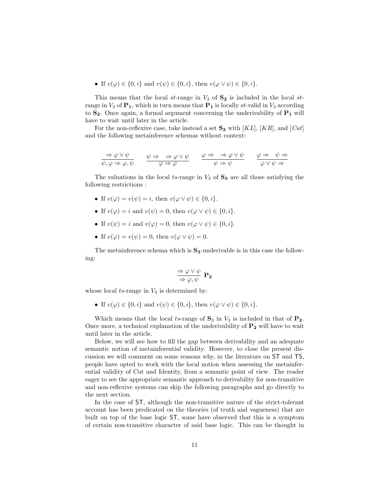• If  $v(\varphi) \in \{0, i\}$  and  $v(\psi) \in \{0, i\}$ , then  $v(\varphi \vee \psi) \in \{0, i\}$ .

This means that the local st-range in  $V_3$  of  $S_2$  is included in the local strange in  $V_3$  of  $\mathbf{P}_1$ , which in turn means that  $\mathbf{P}_1$  is locally st-valid in  $V_3$  according to  $S_2$ . Once again, a formal argument concerning the underivability of  $P_1$  will have to wait until later in the article.

For the non-reflexive case, take instead a set  $\mathbf{S}_3$  with [KL], [KR], and [Cut] and the following metainference schemas without context:

$$
\frac{\Rightarrow \varphi \lor \psi}{\psi, \varphi \Rightarrow \varphi, \psi} \qquad \frac{\psi \Rightarrow \Rightarrow \varphi \lor \psi}{\varphi \Rightarrow \varphi} \qquad \frac{\varphi \Rightarrow \Rightarrow \varphi \lor \psi}{\psi \Rightarrow \psi} \qquad \frac{\varphi \Rightarrow \psi \Rightarrow \psi}{\varphi \lor \psi \Rightarrow}
$$

The valuations in the local ts-range in  $V_3$  of  $S_3$  are all those satisfying the following restrictions :

- If  $v(\varphi) = v(\psi) = i$ , then  $v(\varphi \vee \psi) \in \{0, i\}.$
- If  $v(\varphi) = i$  and  $v(\psi) = 0$ , then  $v(\varphi \vee \psi) \in \{0, i\}.$
- If  $v(\psi) = i$  and  $v(\varphi) = 0$ , then  $v(\varphi \vee \psi) \in \{0, i\}.$
- If  $v(\varphi) = v(\psi) = 0$ , then  $v(\varphi \vee \psi) = 0$ .

The metainference schema which is  $S_3$ -underivable is in this case the following:

$$
\frac{\Rightarrow \varphi \lor \psi}{\Rightarrow \varphi, \psi} \mathbf{P_2}
$$

whose local  $ts$ -range in  $V_3$  is determined by:

• If  $v(\varphi) \in \{0, i\}$  and  $v(\psi) \in \{0, i\}$ , then  $v(\varphi \vee \psi) \in \{0, i\}$ .

Which means that the local ts-range of  $S_3$  in  $V_3$  is included in that of  $P_2$ . Once more, a technical explanation of the underivability of  $P_2$  will have to wait until later in the article.

Below, we will see how to fill the gap between derivability and an adequate semantic notion of metainferential validity. However, to close the present discussion we will comment on some reasons why, in the literature on ST and TS, people have opted to work with the local notion when assessing the metainferential validity of Cut and Identity, from a semantic point of view. The reader eager to see the appropriate semantic approach to derivability for non-transitive and non-reflexive systems can skip the following paragraphs and go directly to the next section.

In the case of ST, although the non-transitive nature of the strict-tolerant account has been predicated on the theories (of truth and vagueness) that are built on top of the base logic ST, some have observed that this is a symptom of certain non-transitive character of said base logic. This can be thought in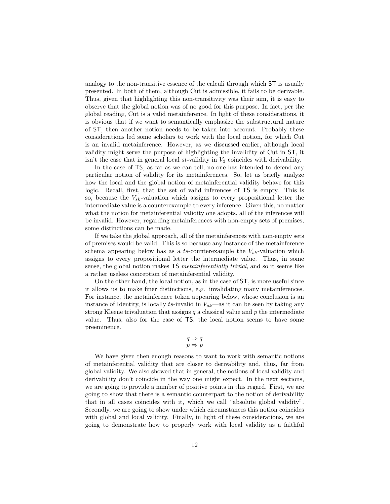analogy to the non-transitive essence of the calculi through which ST is usually presented. In both of them, although Cut is admissible, it fails to be derivable. Thus, given that highlighting this non-transitivity was their aim, it is easy to observe that the global notion was of no good for this purpose. In fact, per the global reading, Cut is a valid metainference. In light of these considerations, it is obvious that if we want to semantically emphasize the substructural nature of ST, then another notion needs to be taken into account. Probably these considerations led some scholars to work with the local notion, for which Cut is an invalid metainference. However, as we discussed earlier, although local validity might serve the purpose of highlighting the invalidity of Cut in ST, it isn't the case that in general local  $st$ -validity in  $V_3$  coincides with derivability.

In the case of TS, as far as we can tell, no one has intended to defend any particular notion of validity for its metainferences. So, let us briefly analyze how the local and the global notion of metainferential validity behave for this logic. Recall, first, that the set of valid inferences of TS is empty. This is so, because the  $V_{sk}$ -valuation which assigns to every propositional letter the intermediate value is a counterexample to every inference. Given this, no matter what the notion for metainferential validity one adopts, all of the inferences will be invalid. However, regarding metainferences with non-empty sets of premises, some distinctions can be made.

If we take the global approach, all of the metainferences with non-empty sets of premises would be valid. This is so because any instance of the metainference schema appearing below has as a ts-counterexample the  $V_{sk}$ -valuation which assigns to every propositional letter the intermediate value. Thus, in some sense, the global notion makes TS metainferentially trivial, and so it seems like a rather useless conception of metainferential validity.

On the other hand, the local notion, as in the case of ST, is more useful since it allows us to make finer distinctions, e.g. invalidating many metainferences. For instance, the metainference token appearing below, whose conclusion is an instance of Identity, is locally ts-invalid in  $V_{sk}$ —as it can be seen by taking any strong Kleene trivaluation that assigns  $q$  a classical value and  $p$  the intermediate value. Thus, also for the case of TS, the local notion seems to have some preeminence.

$$
\displaystyle \frac{q \Rightarrow q}{p \Rightarrow p}
$$

We have given then enough reasons to want to work with semantic notions of metainferential validity that are closer to derivability and, thus, far from global validity. We also showed that in general, the notions of local validity and derivability don't coincide in the way one might expect. In the next sections, we are going to provide a number of positive points in this regard. First, we are going to show that there is a semantic counterpart to the notion of derivability that in all cases coincides with it, which we call "absolute global validity". Secondly, we are going to show under which circumstances this notion coincides with global and local validity. Finally, in light of these considerations, we are going to demonstrate how to properly work with local validity as a faithful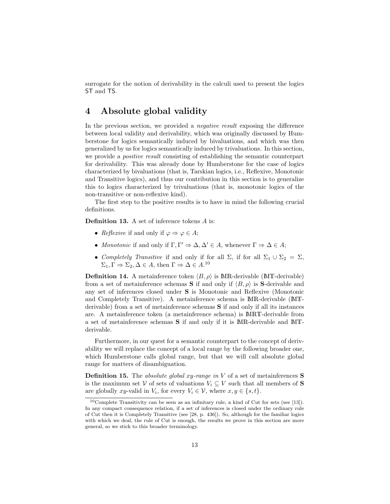surrogate for the notion of derivability in the calculi used to present the logics ST and TS.

# 4 Absolute global validity

In the previous section, we provided a negative result exposing the difference between local validity and derivability, which was originally discussed by Humberstone for logics semantically induced by bivaluations, and which was then generalized by us for logics semantically induced by trivaluations. In this section, we provide a *positive result* consisting of establishing the semantic counterpart for derivability. This was already done by Humberstone for the case of logics characterized by bivaluations (that is, Tarskian logics, i.e., Reflexive, Monotonic and Transitive logics), and thus our contribution in this section is to generalize this to logics characterized by trivaluations (that is, monotonic logics of the non-transitive or non-reflexive kind).

The first step to the positive results is to have in mind the following crucial definitions.

Definition 13. A set of inference tokens A is:

- Reflexive if and only if  $\varphi \Rightarrow \varphi \in A$ ;
- Monotonic if and only if  $\Gamma, \Gamma' \Rightarrow \Delta, \Delta' \in A$ , whenever  $\Gamma \Rightarrow \Delta \in A$ ;
- Completely Transitive if and only if for all  $\Sigma$ , if for all  $\Sigma_1 \cup \Sigma_2 = \Sigma$ ,  $\Sigma_1, \Gamma \Rightarrow \Sigma_2, \Delta \in A$ , then  $\Gamma \Rightarrow \Delta \in A$ .<sup>10</sup>

**Definition 14.** A metainference token  $\langle B, \rho \rangle$  is MR-derivable (MT-derivable) from a set of metainference schemas **S** if and only if  $\langle B, \rho \rangle$  is **S**-derivable and any set of inferences closed under S is Monotonic and Reflexive (Monotonic and Completely Transitive). A metainference schema is MR-derivable (MTderivable) from a set of metainference schemas S if and only if all its instances are. A metainference token (a metainference schema) is MRT-derivable from a set of metainference schemas S if and only if it is MR-derivable and MTderivable.

Furthermore, in our quest for a semantic counterpart to the concept of derivability we will replace the concept of a local range by the following broader one, which Humberstone calls global range, but that we will call absolute global range for matters of disambiguation.

**Definition 15.** The *absolute global xy-range in*  $V$  of a set of metainferences  $S$ is the maximum set V of sets of valuations  $V_i \subseteq V$  such that all members of S are globally xy-valid in  $V_i$ , for every  $V_i \in \mathcal{V}$ , where  $x, y \in \{s, t\}.$ 

<sup>10</sup>Complete Transitivity can be seen as an infinitary rule, a kind of Cut for sets (see [13]). In any compact consequence relation, if a set of inferences is closed under the ordinary rule of Cut then it is Completely Transitive (see [28, p. 436]). So, although for the familiar logics with which we deal, the rule of Cut is enough, the results we prove in this section are more general, so we stick to this broader terminology.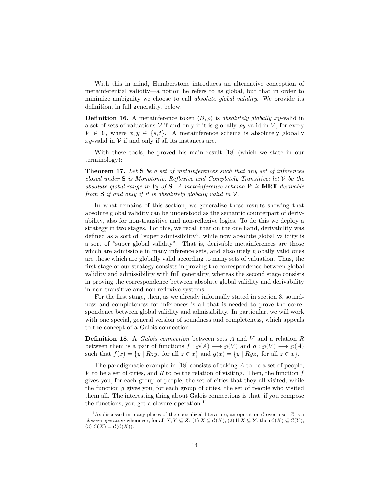With this in mind, Humberstone introduces an alternative conception of metainferential validity—a notion he refers to as global, but that in order to minimize ambiguity we choose to call *absolute global validity*. We provide its definition, in full generality, below.

**Definition 16.** A metainference token  $\langle B, \rho \rangle$  is absolutely globally xy-valid in a set of sets of valuations  $V$  if and only if it is globally xy-valid in V, for every  $V \in \mathcal{V}$ , where  $x, y \in \{s, t\}$ . A metainference schema is absolutely globally  $x_{\text{y}}$ -valid in  $\mathcal V$  if and only if all its instances are.

With these tools, he proved his main result [18] (which we state in our terminology):

**Theorem 17.** Let S be a set of metainferences such that any set of inferences closed under  $S$  is Monotonic, Reflexive and Completely Transitive; let  $V$  be the absolute global range in  $V_2$  of S. A metainference schema **P** is MRT-derivable from  $S$  if and only if it is absolutely globally valid in  $V$ .

In what remains of this section, we generalize these results showing that absolute global validity can be understood as the semantic counterpart of derivability, also for non-transitive and non-reflexive logics. To do this we deploy a strategy in two stages. For this, we recall that on the one hand, derivability was defined as a sort of "super admissibility", while now absolute global validity is a sort of "super global validity". That is, derivable metainferences are those which are admissible in many inference sets, and absolutely globally valid ones are those which are globally valid according to many sets of valuation. Thus, the first stage of our strategy consists in proving the correspondence between global validity and admissibility with full generality, whereas the second stage consists in proving the correspondence between absolute global validity and derivability in non-transitive and non-reflexive systems.

For the first stage, then, as we already informally stated in section 3, soundness and completeness for inferences is all that is needed to prove the correspondence between global validity and admissibility. In particular, we will work with one special, general version of soundness and completeness, which appeals to the concept of a Galois connection.

Definition 18. A Galois connection between sets A and V and a relation R between them is a pair of functions  $f : \wp(A) \longrightarrow \wp(V)$  and  $g : \wp(V) \longrightarrow \wp(A)$ such that  $f(x) = \{y \mid Rzy$ , for all  $z \in x\}$  and  $g(x) = \{y \mid Ryz$ , for all  $z \in x\}$ .

The paradigmatic example in [18] consists of taking A to be a set of people, V to be a set of cities, and R to be the relation of visiting. Then, the function  $f$ gives you, for each group of people, the set of cities that they all visited, while the function  $g$  gives you, for each group of cities, the set of people who visited them all. The interesting thing about Galois connections is that, if you compose the functions, you get a closure operation.<sup>11</sup>

<sup>&</sup>lt;sup>11</sup>As discussed in many places of the specialized literature, an operation  $C$  over a set Z is a closure operation whenever, for all  $X, Y \subseteq Z$ : (1)  $X \subseteq \mathcal{C}(X)$ , (2) If  $X \subseteq Y$ , then  $\mathcal{C}(X) \subseteq \mathcal{C}(Y)$ , (3)  $C(X) = C(C(X)).$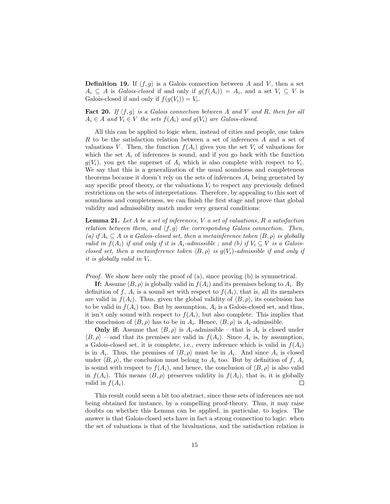**Definition 19.** If  $\langle f, g \rangle$  is a Galois connection between A and V, then a set  $A_i \subseteq A$  is *Galois-closed* if and only if  $g(f(A_i)) = A_i$ , and a set  $V_i \subseteq V$  is Galois-closed if and only if  $f(g(V_i)) = V_i$ .

**Fact 20.** If  $\langle f, g \rangle$  is a Galois connection between A and V and R, then for all  $A_i \in A$  and  $V_i \in V$  the sets  $f(A_i)$  and  $g(V_i)$  are Galois-closed.

All this can be applied to logic when, instead of cities and people, one takes R to be the satisfaction relation between a set of inferences A and a set of valuations V. Then, the function  $f(A_i)$  gives you the set  $V_i$  of valuations for which the set  $A_i$  of inferences is sound, and if you go back with the function  $g(V_i)$ , you get the superset of  $A_i$  which is also complete with respect to  $V_i$ . We say that this is a generalization of the usual soundness and completeness theorems because it doesn't rely on the sets of inferences  $A_i$  being generated by any specific proof theory, or the valuations  $V_i$  to respect any previously defined restrictions on the sets of interpretations. Therefore, by appealing to this sort of soundness and completeness, we can finish the first stage and prove that global validity and admissibility match under very general conditions:

**Lemma 21.** Let  $A$  be a set of inferences,  $V$  a set of valuations,  $R$  a satisfaction relation between them, and  $\langle f, g \rangle$  the corresponding Galois connection. Then, (a) if  $A_i \subseteq A$  is a Galois-closed set, then a metainference token  $\langle B, \rho \rangle$  is globally valid in  $f(A_i)$  if and only if it is  $A_i$ -admissible; and (b) if  $V_i \subseteq V$  is a Galoisclosed set, then a metainference token  $\langle B, \rho \rangle$  is g(V<sub>i</sub>)-admissible if and only if it is globally valid in  $V_i$ .

*Proof.* We show here only the proof of (a), since proving (b) is symmetrical.

**If:** Assume  $\langle B, \rho \rangle$  is globally valid in  $f(A_i)$  and its premises belong to  $A_i$ . By definition of f,  $A_i$  is a sound set with respect to  $f(A_i)$ , that is, all its members are valid in  $f(A_i)$ . Thus, given the global validity of  $\langle B, \rho \rangle$ , its conclusion has to be valid in  $f(A_i)$  too. But by assumption,  $A_i$  is a Galois-closed set, and thus, it isn't only sound with respect to  $f(A_i)$ , but also complete. This implies that the conclusion of  $\langle B, \rho \rangle$  has to be in  $A_i$ . Hence,  $\langle B, \rho \rangle$  is  $A_i$ -admissible.

**Only if:** Assume that  $\langle B, \rho \rangle$  is  $A_i$ -admissible —that is  $A_i$  is closed under  $\langle B, \rho \rangle$  —and that its premises are valid in  $f(A_i)$ . Since  $A_i$  is, by assumption, a Galois-closed set, it is complete, i.e., every inference which is valid in  $f(A_i)$ is in  $A_i$ . Thus, the premises of  $\langle B, \rho \rangle$  must be in  $A_i$ . And since  $A_i$  is closed under  $\langle B, \rho \rangle$ , the conclusion must belong to  $A_i$  too. But by definition of f,  $A_i$ is sound with respect to  $f(A_i)$ , and hence, the conclusion of  $\langle B, \rho \rangle$  is also valid in  $f(A_i)$ . This means  $\langle B, \rho \rangle$  preserves validity in  $f(A_i)$ , that is, it is globally valid in  $f(A_i)$ .  $\Box$ 

This result could seem a bit too abstract, since these sets of inferences are not being obtained for instance, by a compelling proof-theory. Thus, it may raise doubts on whether this Lemma can be applied, in particular, to logics. The answer is that Galois-closed sets have in fact a strong connection to logic: when the set of valuations is that of the bivaluations, and the satisfaction relation is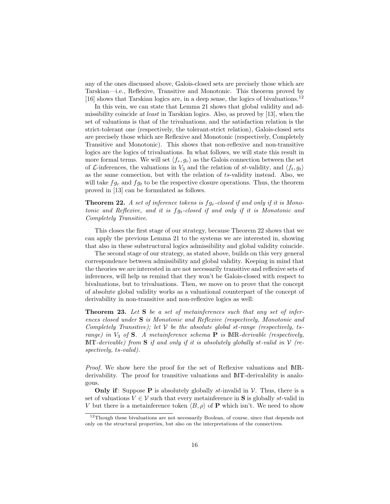any of the ones discussed above, Galois-closed sets are precisely those which are Tarskian—i.e., Reflexive, Transitive and Monotonic. This theorem proved by [16] shows that Tarskian logics are, in a deep sense, the logics of bivaluations.<sup>12</sup>

In this vein, we can state that Lemma 21 shows that global validity and admissibility coincide at least in Tarskian logics. Also, as proved by [13], when the set of valuations is that of the trivaluations, and the satisfaction relation is the strict-tolerant one (respectively, the tolerant-strict relation), Galois-closed sets are precisely those which are Reflexive and Monotonic (respectively, Completely Transitive and Monotonic). This shows that non-reflexive and non-transitive logics are the logics of trivaluations. In what follows, we will state this result in more formal terms. We will set  $\langle f_r, g_r \rangle$  as the Galois connection between the set of  $\mathcal{L}\text{-inferences}$ , the valuations in  $V_3$  and the relation of st-validity, and  $\langle f_t, g_t \rangle$ as the same connection, but with the relation of ts-validity instead. Also, we will take  $fg_r$  and  $fg_t$  to be the respective closure operations. Thus, the theorem proved in [13] can be formulated as follows.

**Theorem 22.** A set of inference tokens is  $fg_r$ -closed if and only if it is Monotonic and Reflexive, and it is  $f g_t$ -closed if and only if it is Monotonic and Completely Transitive.

This closes the first stage of our strategy, because Theorem 22 shows that we can apply the previous Lemma 21 to the systems we are interested in, showing that also in these substructural logics admissibility and global validity coincide.

The second stage of our strategy, as stated above, builds on this very general correspondence between admissibility and global validity. Keeping in mind that the theories we are interested in are not necessarily transitive and reflexive sets of inferences, will help us remind that they won't be Galois-closed with respect to bivaluations, but to trivaluations. Then, we move on to prove that the concept of absolute global validity works as a valuational counterpart of the concept of derivability in non-transitive and non-reflexive logics as well:

**Theorem 23.** Let  $S$  be a set of metainferences such that any set of inferences closed under S is Monotonic and Reflexive (respectively, Monotonic and Completely Transitive); let  $V$  be the absolute global st-range (respectively, tsrange) in  $V_3$  of S. A metainference schema **P** is MR-derivable (respectively,  $\text{MT-}derivable)$  from  $\bf{S}$  if and only if it is absolutely globally st-valid in  $V$  (respectively, ts-valid).

Proof. We show here the proof for the set of Reflexive valuations and MRderivability. The proof for transitive valuations and MT-derivability is analogous.

**Only if:** Suppose **P** is absolutely globally *st*-invalid in  $V$ . Thus, there is a set of valuations  $V \in \mathcal{V}$  such that every metainference in **S** is globally st-valid in V but there is a metainference token  $\langle B, \rho \rangle$  of P which isn't. We need to show

<sup>&</sup>lt;sup>12</sup>Though these bivaluations are not necessarily Boolean, of course, since that depends not only on the structural properties, but also on the interpretations of the connectives.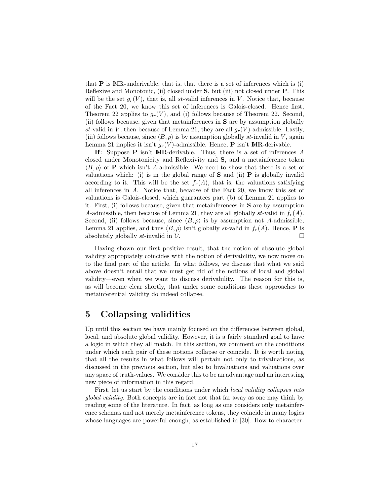that  $P$  is MR-underivable, that is, that there is a set of inferences which is (i) Reflexive and Monotonic, (ii) closed under S, but (iii) not closed under P. This will be the set  $g_r(V)$ , that is, all st-valid inferences in V. Notice that, because of the Fact 20, we know this set of inferences is Galois-closed. Hence first, Theorem 22 applies to  $g_r(V)$ , and (i) follows because of Theorem 22. Second, (ii) follows because, given that metainferences in S are by assumption globally st-valid in V, then because of Lemma 21, they are all  $g_r(V)$ -admissible. Lastly, (iii) follows because, since  $\langle B, \rho \rangle$  is by assumption globally st-invalid in V, again Lemma 21 implies it isn't  $q_r(V)$ -admissible. Hence, **P** isn't MR-derivable.

If: Suppose  $P$  isn't MR-derivable. Thus, there is a set of inferences A closed under Monotonicity and Reflexivity and S, and a metainference token  $\langle B, \rho \rangle$  of **P** which isn't A-admissible. We need to show that there is a set of valuations which: (i) is in the global range of  $S$  and (ii)  $P$  is globally invalid according to it. This will be the set  $f_r(A)$ , that is, the valuations satisfying all inferences in A. Notice that, because of the Fact 20, we know this set of valuations is Galois-closed, which guarantees part (b) of Lemma 21 applies to it. First, (i) follows because, given that metainferences in S are by assumption A-admissible, then because of Lemma 21, they are all globally st-valid in  $f_r(A)$ . Second, (ii) follows because, since  $\langle B, \rho \rangle$  is by assumption not A-admissible, Lemma 21 applies, and thus  $\langle B, \rho \rangle$  isn't globally st-valid in  $f_r(A)$ . Hence, **P** is absolutely globally st-invalid in  $V$ .  $\Box$ 

Having shown our first positive result, that the notion of absolute global validity appropiately coincides with the notion of derivability, we now move on to the final part of the article. In what follows, we discuss that what we said above doesn't entail that we must get rid of the notions of local and global validity—even when we want to discuss derivability. The reason for this is, as will become clear shortly, that under some conditions these approaches to metainferential validity do indeed collapse.

# 5 Collapsing validities

Up until this section we have mainly focused on the differences between global, local, and absolute global validity. However, it is a fairly standard goal to have a logic in which they all match. In this section, we comment on the conditions under which each pair of these notions collapse or coincide. It is worth noting that all the results in what follows will pertain not only to trivaluations, as discussed in the previous section, but also to bivaluations and valuations over any space of truth-values. We consider this to be an advantage and an interesting new piece of information in this regard.

First, let us start by the conditions under which *local validity collapses into* global validity. Both concepts are in fact not that far away as one may think by reading some of the literature. In fact, as long as one considers only metainference schemas and not merely metainference tokens, they coincide in many logics whose languages are powerful enough, as established in [30]. How to character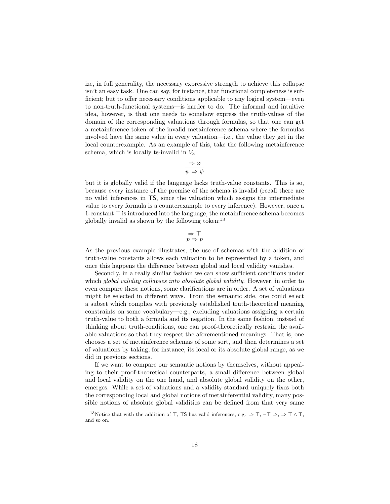ize, in full generality, the necessary expressive strength to achieve this collapse isn't an easy task. One can say, for instance, that functional completeness is sufficient; but to offer necessary conditions applicable to any logical system—even to non-truth-functional systems—is harder to do. The informal and intuitive idea, however, is that one needs to somehow express the truth-values of the domain of the corresponding valuations through formulas, so that one can get a metainference token of the invalid metainference schema where the formulas involved have the same value in every valuation—i.e., the value they get in the local counterexample. As an example of this, take the following metainference schema, which is locally ts-invalid in  $V_3$ :

$$
\dfrac{\Rightarrow \varphi}{\psi \Rightarrow \psi}
$$

but it is globally valid if the language lacks truth-value constants. This is so, because every instance of the premise of the schema is invalid (recall there are no valid inferences in TS, since the valuation which assigns the intermediate value to every formula is a counterexample to every inference). However, once a 1-constant  $\top$  is introduced into the language, the metainference schema becomes globally invalid as shown by the following token: $^{13}$ 

$$
\mathop{\Rightarrow}\limits_{p\,\to\,p}
$$

As the previous example illustrates, the use of schemas with the addition of truth-value constants allows each valuation to be represented by a token, and once this happens the difference between global and local validity vanishes.

Secondly, in a really similar fashion we can show sufficient conditions under which *global validity collapses into absolute global validity*. However, in order to even compare these notions, some clarifications are in order. A set of valuations might be selected in different ways. From the semantic side, one could select a subset which complies with previously established truth-theoretical meaning constraints on some vocabulary—e.g., excluding valuations assigning a certain truth-value to both a formula and its negation. In the same fashion, instead of thinking about truth-conditions, one can proof-theoretically restrain the available valuations so that they respect the aforementioned meanings. That is, one chooses a set of metainference schemas of some sort, and then determines a set of valuations by taking, for instance, its local or its absolute global range, as we did in previous sections.

If we want to compare our semantic notions by themselves, without appealing to their proof-theoretical counterparts, a small difference between global and local validity on the one hand, and absolute global validity on the other, emerges. While a set of valuations and a validity standard uniquely fixes both the corresponding local and global notions of metainferential validity, many possible notions of absolute global validities can be defined from that very same

<sup>&</sup>lt;sup>13</sup>Notice that with the addition of  $\top$ , TS has valid inferences, e.g.  $\Rightarrow$   $\top$ ,  $\neg$  $\top \Rightarrow$ ,  $\Rightarrow$   $\top \wedge \top$ , and so on.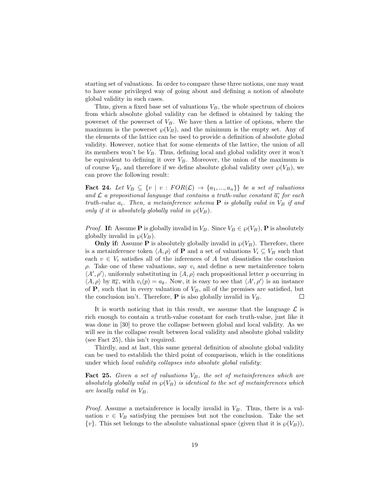starting set of valuations. In order to compare these three notions, one may want to have some privileged way of going about and defining a notion of absolute global validity in such cases.

Thus, given a fixed base set of valuations  $V_B$ , the whole spectrum of choices from which absolute global validity can be defined is obtained by taking the powerset of the powerset of  $V_B$ . We have then a lattice of options, where the maximum is the powerset  $\wp(V_B)$ , and the minimum is the empty set. Any of the elements of the lattice can be used to provide a definition of absolute global validity. However, notice that for some elements of the lattice, the union of all its members won't be  $V_B$ . Thus, defining local and global validity over it won't be equivalent to defining it over  $V_B$ . Moreover, the union of the maximum is of course  $V_B$ , and therefore if we define absolute global validity over  $\wp(V_B)$ , we can prove the following result:

**Fact 24.** Let  $V_B \subseteq \{v \mid v : FOR(\mathcal{L}) \rightarrow \{a_1, ..., a_n\}\}\$ be a set of valuations and  $\mathcal L$  a propositional language that contains a truth-value constant  $\overline{a_i}$  for each truth-value  $a_i$ . Then, a metainference schema **P** is globally valid in  $V_B$  if and only if it is absolutely globally valid in  $\wp(V_B)$ .

*Proof.* If: Assume P is globally invalid in  $V_B$ . Since  $V_B \in \wp(V_B)$ , P is absolutely globally invalid in  $\wp(V_B)$ .

**Only if:** Assume **P** is absolutely globally invalid in  $\wp(V_B)$ . Therefore, there is a metainference token  $\langle A, \rho \rangle$  of **P** and a set of valuations  $V_i \subseteq V_B$  such that each  $v \in V_i$  satisfies all of the inferences of A but dissatisfies the conclusion  $ρ$ . Take one of these valuations, say  $v_i$  and define a new metainference token  $\langle A', \rho' \rangle$ , uniformly substituting in  $\langle A, \rho \rangle$  each propositional letter p occurring in  $\langle A, \rho \rangle$  by  $\overline{a_k}$ , with  $v_i(p) = a_k$ . Now, it is easy to see that  $\langle A', \rho' \rangle$  is an instance of  $P$ , such that in every valuation of  $V_B$ , all of the premises are satisfied, but the conclusion isn't. Therefore,  $P$  is also globally invalid in  $V_B$ .  $\Box$ 

It is worth noticing that in this result, we assume that the language  $\mathcal L$  is rich enough to contain a truth-value constant for each truth-value, just like it was done in [30] to prove the collapse between global and local validity. As we will see in the collapse result between local validity and absolute global validity (see Fact 25), this isn't required.

Thirdly, and at last, this same general definition of absolute global validity can be used to establish the third point of comparison, which is the conditions under which local validity collapses into absolute global validity:

**Fact 25.** Given a set of valuations  $V_B$ , the set of metainferences which are absolutely globally valid in  $\wp(V_B)$  is identical to the set of metainferences which are locally valid in  $V_B$ .

*Proof.* Assume a metainference is locally invalid in  $V_B$ . Thus, there is a valuation  $v \in V_B$  satisfying the premises but not the conclusion. Take the set  $\{v\}$ . This set belongs to the absolute valuational space (given that it is  $\wp(V_B)$ ),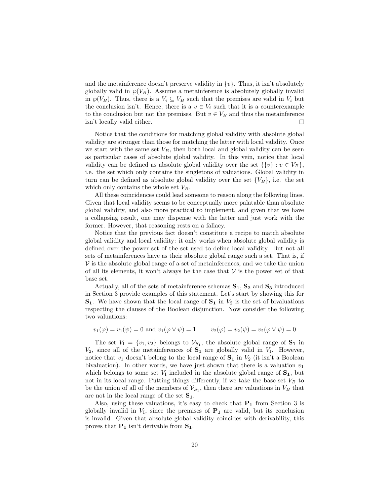and the metainference doesn't preserve validity in  $\{v\}$ . Thus, it isn't absolutely globally valid in  $\wp(V_B)$ . Assume a metainference is absolutely globally invalid in  $\wp(V_B)$ . Thus, there is a  $V_i \subseteq V_B$  such that the premises are valid in  $V_i$  but the conclusion isn't. Hence, there is a  $v \in V_i$  such that it is a counterexample to the conclusion but not the premises. But  $v \in V_B$  and thus the metainference isn't locally valid either.  $\Box$ 

Notice that the conditions for matching global validity with absolute global validity are stronger than those for matching the latter with local validity. Once we start with the same set  $V_B$ , then both local and global validity can be seen as particular cases of absolute global validity. In this vein, notice that local validity can be defined as absolute global validity over the set  $\{\{v\} : v \in V_B\},\$ i.e. the set which only contains the singletons of valuations. Global validity in turn can be defined as absolute global validity over the set  $\{V_B\}$ , i.e. the set which only contains the whole set  $V_B$ .

All these coincidences could lead someone to reason along the following lines. Given that local validity seems to be conceptually more palatable than absolute global validity, and also more practical to implement, and given that we have a collapsing result, one may dispense with the latter and just work with the former. However, that reasoning rests on a fallacy.

Notice that the previous fact doesn't constitute a recipe to match absolute global validity and local validity: it only works when absolute global validity is defined over the power set of the set used to define local validity. But not all sets of metainferences have as their absolute global range such a set. That is, if  $V$  is the absolute global range of a set of metainferences, and we take the union of all its elements, it won't always be the case that  $V$  is the power set of that base set.

Actually, all of the sets of metainference schemas  $S_1, S_2$  and  $S_3$  introduced in Section 3 provide examples of this statement. Let's start by showing this for  $S_1$ . We have shown that the local range of  $S_1$  in  $V_2$  is the set of bivaluations respecting the clauses of the Boolean disjunction. Now consider the following two valuations:

$$
v_1(\varphi) = v_1(\psi) = 0
$$
 and  $v_1(\varphi \vee \psi) = 1$   $v_2(\varphi) = v_2(\psi) = v_2(\varphi \vee \psi) = 0$ 

The set  $V_1 = \{v_1, v_2\}$  belongs to  $\mathcal{V}_{S_1}$ , the absolute global range of  $S_1$  in  $V_2$ , since all of the metainferences of  $S_1$  are globally valid in  $V_1$ . However, notice that  $v_1$  doesn't belong to the local range of  $S_1$  in  $V_2$  (it isn't a Boolean bivaluation). In other words, we have just shown that there is a valuation  $v_1$ which belongs to some set  $V_1$  included in the absolute global range of  $S_1$ , but not in its local range. Putting things differently, if we take the base set  $V_B$  to be the union of all of the members of  $\mathcal{V}_{S_1}$ , then there are valuations in  $V_B$  that are not in the local range of the set  $S_1$ .

Also, using these valuations, it's easy to check that  $P_1$  from Section 3 is globally invalid in  $V_I$ , since the premises of  $P_1$  are valid, but its conclusion is invalid. Given that absolute global validity coincides with derivability, this proves that  $P_1$  isn't derivable from  $S_1$ .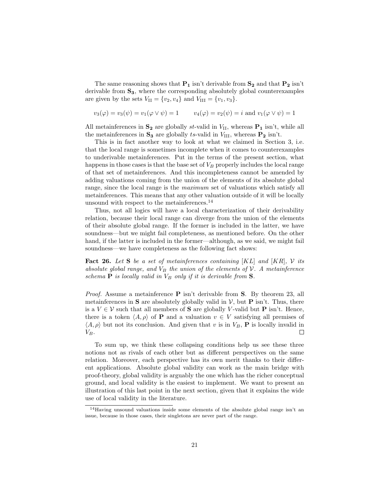The same reasoning shows that  $P_1$  isn't derivable from  $S_2$  and that  $P_2$  isn't derivable from  $S_3$ , where the corresponding absolutely global counterexamples are given by the sets  $V_{II} = \{v_2, v_4\}$  and  $V_{III} = \{v_1, v_3\}.$ 

$$
v_3(\varphi) = v_3(\psi) = v_1(\varphi \lor \psi) = 1
$$
  $v_4(\varphi) = v_2(\psi) = i$  and  $v_1(\varphi \lor \psi) = 1$ 

All metainferences in  $S_2$  are globally st-valid in  $V_{II}$ , whereas  $P_1$  isn't, while all the metainferences in  $S_3$  are globally ts-valid in  $V_{\text{III}}$ , whereas  $P_2$  isn't.

This is in fact another way to look at what we claimed in Section 3, i.e. that the local range is sometimes incomplete when it comes to counterexamples to underivable metainferences. Put in the terms of the present section, what happens in those cases is that the base set of  $V_B$  properly includes the local range of that set of metainferences. And this incompleteness cannot be amended by adding valuations coming from the union of the elements of its absolute global range, since the local range is the *maximum* set of valuations which satisfy all metainferences. This means that any other valuation outside of it will be locally unsound with respect to the metainferences.<sup>14</sup>

Thus, not all logics will have a local characterization of their derivability relation, because their local range can diverge from the union of the elements of their absolute global range. If the former is included in the latter, we have soundness—but we might fail completeness, as mentioned before. On the other hand, if the latter is included in the former—although, as we said, we might fail soundness—we have completeness as the following fact shows:

**Fact 26.** Let S be a set of metainferences containing  $[KL]$  and  $[KR]$ , V its absolute global range, and  $V_B$  the union of the elements of  $\mathcal V$ . A metainference schema  $P$  is locally valid in  $V_B$  only if it is derivable from  $S$ .

*Proof.* Assume a metainference  $P$  isn't derivable from  $S$ . By theorem 23, all metainferences in **S** are absolutely globally valid in  $V$ , but **P** isn't. Thus, there is a  $V \in V$  such that all members of **S** are globally V-valid but **P** isn't. Hence, there is a token  $\langle A, \rho \rangle$  of **P** and a valuation  $v \in V$  satisfying all premises of  $\langle A, \rho \rangle$  but not its conclusion. And given that v is in  $V_B$ , **P** is locally invalid in  $V_B$ .  $\Box$ 

To sum up, we think these collapsing conditions help us see these three notions not as rivals of each other but as different perspectives on the same relation. Moreover, each perspective has its own merit thanks to their different applications. Absolute global validity can work as the main bridge with proof-theory, global validity is arguably the one which has the richer conceptual ground, and local validity is the easiest to implement. We want to present an illustration of this last point in the next section, given that it explains the wide use of local validity in the literature.

<sup>14</sup>Having unsound valuations inside some elements of the absolute global range isn't an issue, because in those cases, their singletons are never part of the range.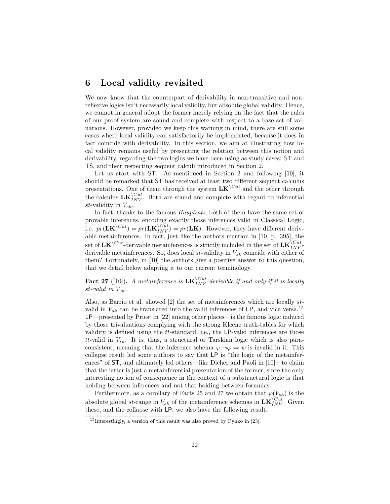#### 6 Local validity revisited

We now know that the counterpart of derivability in non-transitive and nonreflexive logics isn't necessarily local validity, but absolute global validity. Hence, we cannot in general adopt the former merely relying on the fact that the rules of our proof system are sound and complete with respect to a base set of valuations. However, provided we keep this warning in mind, there are still some cases where local validity can satisfactorily be implemented, because it does in fact coincide with derivability. In this section, we aim at illustrating how local validity remains useful by presenting the relation between this notion and derivability, regarding the two logics we have been using as study cases: ST and TS, and their respecting sequent calculi introduced in Section 2.

Let us start with ST. As mentioned in Section 2 and following [10], it should be remarked that ST has received at least two different sequent calculus presentations. One of them through the system  $LK^{\setminus Cut}$  and the other through the calculus  $LK_{INV}^{\setminus Cut}$ . Both are sound and complete with regard to inferential st-validity in  $V_{sk}$ .

In fact, thanks to the famous *Hauptsatz*, both of them have the same set of provable inferences, encoding exactly those inferences valid in Classical Logic, i.e.  $pr(\mathbf{LK}^{\setminus Cut}) = pr(\mathbf{LK}^{\setminus Cut}_{INV}) = pr(\mathbf{LK})$ . However, they have different derivable metainferences. In fact, just like the authors mention in [10, p. 395], the  $\det \det \mathbf{L} \mathbf{K}^{\setminus Cut}$ -derivable metainferences is strictly included in the set of  $\mathbf{L} \mathbf{K}^{\setminus Cut}_{INV}$ derivable metainferences. So, does local st-validity in  $V_{sk}$  coincide with either of them? Fortunately, in [10] the authors give a positive answer to this question, that we detail below adapting it to our current terminology.

**Fact 27** ([10]). A metainference is  $LK_{INV}^{Cut}$ -derivable if and only if it is locally st-valid in  $V_{sk}$ .

Also, as Barrio et al. showed [2] the set of metainferences which are locally stvalid in  $V_{sk}$  can be translated into the valid inferences of LP, and vice versa.<sup>15</sup> LP—presented by Priest in [22] among other places—is the famous logic induced by those trivaluations complying with the strong Kleene truth-tables for which validity is defined using the  $tt$ -standard, i.e., the LP-valid inferences are those tt-valid in  $V_{sk}$ . It is, thus, a structural or Tarskian logic which is also paraconsistent, meaning that the inference schema  $\varphi, \neg \varphi \Rightarrow \psi$  is invalid in it. This collapse result led some authors to say that LP is "the logic of the metainferences" of ST, and ultimately led others—like Dicher and Paoli in [10]—to claim that the latter is just a metainferential presentation of the former, since the only interesting notion of consequence in the context of a substructural logic is that holding between inferences and not that holding between formulas.

Furthermore, as a corollary of Facts 25 and 27 we obtain that  $\wp(V_{sk})$  is the absolute global st-range in  $V_{sk}$  of the metainference schemas in  $\mathbf{LK}_{INV}^{\setminus Cut}$ . Given these, and the collapse with LP, we also have the following result.

<sup>15</sup>Interestingly, a version of this result was also proved by Pynko in [23].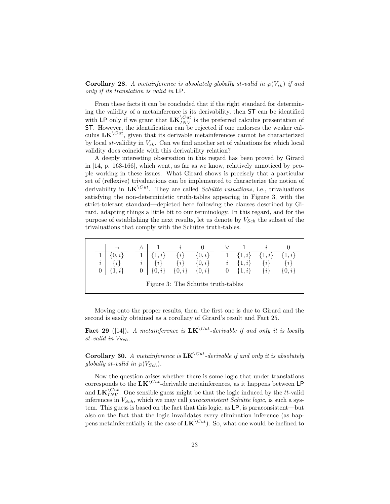**Corollary 28.** A metainference is absolutely globally st-valid in  $\wp(V_{sk})$  if and only if its translation is valid in LP.

From these facts it can be concluded that if the right standard for determining the validity of a metainference is its derivability, then ST can be identified with LP only if we grant that  $LK_{INV}^{\setminus Cut}$  is the preferred calculus presentation of ST. However, the identification can be rejected if one endorses the weaker calculus  $LK^{\setminus Cut}$ , given that its derivable metainferences cannot be characterized by local st-validity in  $V_{sk}$ . Can we find another set of valuations for which local validity does coincide with this derivability relation?

A deeply interesting observation in this regard has been proved by Girard in [14, p. 163-166], which went, as far as we know, relatively unnoticed by people working in these issues. What Girard shows is precisely that a particular set of (reflexive) trivaluations can be implemented to characterize the notion of derivability in  $LK^{\setminus Cut}$ . They are called *Schütte valuations*, i.e., trivaluations satisfying the non-deterministic truth-tables appearing in Figure 3, with the strict-tolerant standard—depicted here following the clauses described by Girard, adapting things a little bit to our terminology. In this regard, and for the purpose of establishing the next results, let us denote by  $V_{Sch}$  the subset of the trivaluations that comply with the Schütte truth-tables.

| $0, i \}$<br>$\{i\}$                  |          | 1, i<br>$\{i\}$ | $\{i\}$<br>$\{i\}$  | $\{0,i\}$  |       | $1, i \}$<br>$\{1,i\}$ | $\{1, i\}$<br>$\{i\}$ | $\{1,i\}$<br>$\{i\}$ |  |  |
|---------------------------------------|----------|-----------------|---------------------|------------|-------|------------------------|-----------------------|----------------------|--|--|
| $\it i$<br>$1, i\}$<br>$\overline{0}$ | $\imath$ | $0   \{0, i\}$  | $\{0,i\}$ $\{0,i\}$ | $\{0, i\}$ | $0-1$ | $\{1,i\}$              | $\{i\}$               | $\{0, i\}$           |  |  |
| Figure 3: The Schütte truth-tables    |          |                 |                     |            |       |                        |                       |                      |  |  |

Moving onto the proper results, then, the first one is due to Girard and the second is easily obtained as a corollary of Girard's result and Fact 25.

Fact 29 ([14]). A metainference is  $LK^{\setminus Cut}$ -derivable if and only it is locally st-valid in  $V_{Sch}$ .

**Corollary 30.** A metainference is  $LK^{\setminus Cut}$ -derivable if and only it is absolutely globally st-valid in  $\wp(V_{Sch})$ .

Now the question arises whether there is some logic that under translations corresponds to the  $LK^{\setminus Cut}$ -derivable metainferences, as it happens between LP and  $LK_{INV}^{\setminus Cut}$ . One sensible guess might be that the logic induced by the tt-valid inferences in  $V_{Sch}$ , which we may call paraconsistent Schütte logic, is such a system. This guess is based on the fact that this logic, as LP, is paraconsistent—but also on the fact that the logic invalidates every elimination inference (as happens metainferentially in the case of  $LK^{\setminus Cut}$ . So, what one would be inclined to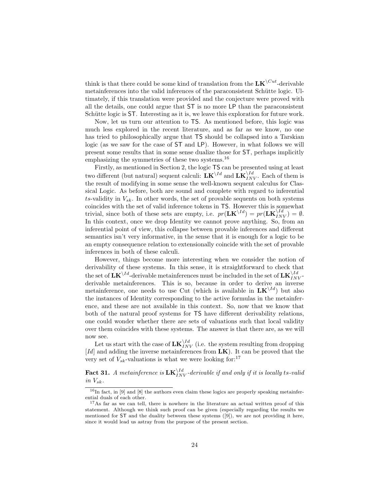think is that there could be some kind of translation from the  $LK^{\setminus Cut}$ -derivable metainferences into the valid inferences of the paraconsistent Schütte logic. Ultimately, if this translation were provided and the conjecture were proved with all the details, one could argue that ST is no more LP than the paraconsistent Schütte logic is ST. Interesting as it is, we leave this exploration for future work.

Now, let us turn our attention to TS. As mentioned before, this logic was much less explored in the recent literature, and as far as we know, no one has tried to philosophically argue that TS should be collapsed into a Tarskian logic (as we saw for the case of ST and LP). However, in what follows we will present some results that in some sense dualize those for ST, perhaps implicitly emphasizing the symmetries of these two systems.<sup>16</sup>

Firstly, as mentioned in Section 2, the logic TS can be presented using at least two different (but natural) sequent calculi:  $\mathbf{LK}^{\setminus Id}$  and  $\mathbf{LK}^{\setminus Id}_{INV}$ . Each of them is the result of modifying in some sense the well-known sequent calculus for Classical Logic. As before, both are sound and complete with regard to inferential  $ts$ -validity in  $V_{sk}$ . In other words, the set of provable sequents on both systems coincides with the set of valid inference tokens in TS. However this is somewhat trivial, since both of these sets are empty, i.e.  $pr(\mathbf{LK}^{\setminus Id}) = pr(\mathbf{LK}^{\setminus Id}_{INV}) = \emptyset$ . In this context, once we drop Identity we cannot prove anything. So, from an inferential point of view, this collapse between provable inferences and different semantics isn't very informative, in the sense that it is enough for a logic to be an empty consequence relation to extensionally coincide with the set of provable inferences in both of these calculi.

However, things become more interesting when we consider the notion of derivability of these systems. In this sense, it is straightforward to check that the set of  $\mathbf{L}\mathbf{K}^{\setminus Id}$ -derivable metainferences must be included in the set of  $\mathbf{L}\mathbf{K}^{\setminus Id}_{INV}$ derivable metainferences. This is so, because in order to derive an inverse metainference, one needs to use Cut (which is available in  $LK^{\setminus Id}$ ) but also the instances of Identity corresponding to the active formulas in the metainference, and these are not available in this context. So, now that we know that both of the natural proof systems for TS have different derivability relations, one could wonder whether there are sets of valuations such that local validity over them coincides with these systems. The answer is that there are, as we will now see.

Let us start with the case of  $LK_{INV}^{\setminus Id}$  (i.e. the system resulting from dropping [Id] and adding the inverse metainferences from  $LK$ ). It can be proved that the very set of  $V_{sk}$ -valuations is what we were looking for:<sup>17</sup>

**Fact 31.** A metainference is  $LK_{INV}^{Yd}$ -derivable if and only if it is locally ts-valid in  $V_{sk}$ .

 $16$ In fact, in [9] and [8] the authors even claim these logics are properly speaking metainferential duals of each other.

<sup>&</sup>lt;sup>17</sup>As far as we can tell, there is nowhere in the literature an actual written proof of this statement. Although we think such proof can be given (especially regarding the results we mentioned for ST and the duality between these systems ([9]), we are not providing it here, since it would lead us astray from the purpose of the present section.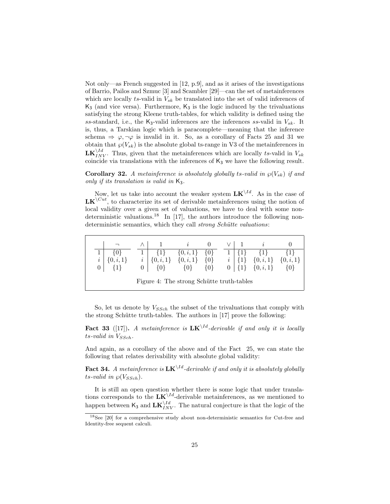Not only—as French suggested in [12, p.9], and as it arises of the investigations of Barrio, Pailos and Szmuc [3] and Scambler [29]—can the set of metainferences which are locally ts-valid in  $V_{sk}$  be translated into the set of valid inferences of  $K_3$  (and vice versa). Furthermore,  $K_3$  is the logic induced by the trivaluations satisfying the strong Kleene truth-tables, for which validity is defined using the ss-standard, i.e., the  $K_3$ -valid inferences are the inferences ss-valid in  $V_{sk}$ . It is, thus, a Tarskian logic which is paracomplete—meaning that the inference schema  $\Rightarrow \varphi, \neg \varphi$  is invalid in it. So, as a corollary of Facts 25 and 31 we obtain that  $\wp(V_{sk})$  is the absolute global ts-range in V3 of the metainferences in  $LK_{INV}^{Vld}$ . Thus, given that the metainferences which are locally ts-valid in  $V_{sk}$ coincide via translations with the inferences of  $K_3$  we have the following result.

**Corollary 32.** A metainference is absolutely globally ts-valid in  $\wp(V_{sk})$  if and only if its translation is valid in  $K_3$ .

Now, let us take into account the weaker system  $LK^{\setminus Id}$ . As in the case of  $LK^{\setminus Cut}$ , to characterize its set of derivable metainferences using the notion of local validity over a given set of valuations, we have to deal with some nondeterministic valuations.<sup>18</sup> In [17], the authors introduce the following nondeterministic semantics, which they call *strong Schütte valuations*:

|                                           |  |          |               | $\{0, i, 1\}$ | $\{0\}$ |  |                |  |               |               |
|-------------------------------------------|--|----------|---------------|---------------|---------|--|----------------|--|---------------|---------------|
| $\imath$                                  |  | $\imath$ | $\{0, i, 1\}$ | $\{0, i, 1\}$ | $\{0\}$ |  | $\it i$        |  | $\{0, i, 1\}$ | $\{0, i, 1\}$ |
| $\theta$                                  |  |          |               | {0}           | $\{0\}$ |  | 0 <sup>1</sup> |  | $\{0, i, 1\}$ | $\{0\}$       |
| Figure 4: The strong Schütte truth-tables |  |          |               |               |         |  |                |  |               |               |

So, let us denote by  $V_{SSch}$  the subset of the trivaluations that comply with the strong Schütte truth-tables. The authors in  $[17]$  prove the following:

Fact 33 ([17]). A metainference is  $LK^{\setminus Id}$ -derivable if and only it is locally  $ts$ -valid in  $V_{SSch}$ .

And again, as a corollary of the above and of the Fact 25, we can state the following that relates derivability with absolute global validity:

**Fact 34.** A metainference is  $LK^{\setminus Id}$ -derivable if and only it is absolutely globally ts-valid in  $\wp(V_{SSch})$ .

It is still an open question whether there is some logic that under translations corresponds to the  $LK^{\backslash Id}$ -derivable metainferences, as we mentioned to happen between  $\mathsf{K}_3$  and  $\mathbf{LK}_{INV}^{ \setminus Id}$ . The natural conjecture is that the logic of the

<sup>18</sup>See [20] for a comprehensive study about non-deterministic semantics for Cut-free and Identity-free sequent calculi.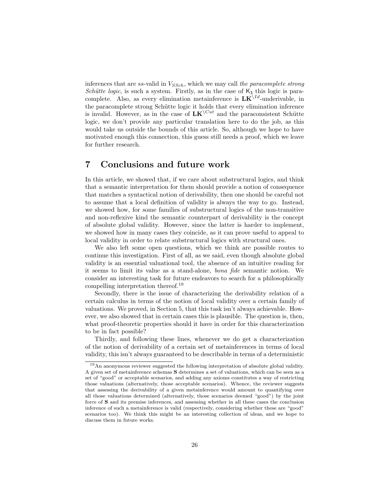inferences that are  $ss$ -valid in  $V_{SSch}$ , which we may call the paracomplete strong Schütte logic, is such a system. Firstly, as in the case of  $K_3$  this logic is paracomplete. Also, as every elimination metainference is  $LK^{\setminus Id}$ -underivable, in the paracomplete strong Schütte logic it holds that every elimination inference is invalid. However, as in the case of  $LK^{\setminus Cut}$  and the paraconsistent Schütte logic, we don't provide any particular translation here to do the job, as this would take us outside the bounds of this article. So, although we hope to have motivated enough this connection, this guess still needs a proof, which we leave for further research.

# 7 Conclusions and future work

In this article, we showed that, if we care about substructural logics, and think that a semantic interpretation for them should provide a notion of consequence that matches a syntactical notion of derivability, then one should be careful not to assume that a local definition of validity is always the way to go. Instead, we showed how, for some families of substructural logics of the non-transitive and non-reflexive kind the semantic counterpart of derivability is the concept of absolute global validity. However, since the latter is harder to implement, we showed how in many cases they coincide, as it can prove useful to appeal to local validity in order to relate substructural logics with structural ones.

We also left some open questions, which we think are possible routes to continue this investigation. First of all, as we said, even though absolute global validity is an essential valuational tool, the absence of an intuitive reading for it seems to limit its value as a stand-alone, bona fide semantic notion. We consider an interesting task for future endeavors to search for a philosophically compelling interpretation thereof.<sup>19</sup>

Secondly, there is the issue of characterizing the derivability relation of a certain calculus in terms of the notion of local validity over a certain family of valuations. We proved, in Section 5, that this task isn't always achievable. However, we also showed that in certain cases this is plausible. The question is, then, what proof-theoretic properties should it have in order for this characterization to be in fact possible?

Thirdly, and following these lines, whenever we do get a characterization of the notion of derivability of a certain set of metainferences in terms of local validity, this isn't always guaranteed to be describable in terms of a deterministic

<sup>19</sup>An anonymous reviewer suggested the following interpretation of absolute global validity. A given set of metainference schemas S determines a set of valuations, which can be seen as a set of "good" or acceptable scenarios, and adding any axioms constitutes a way of restricting those valuations (alternatively, those acceptable scenarios). Whence, the reviewer suggests that assessing the derivability of a given metainference would amount to quantifying over all those valuations determined (alternatively, those scenarios deemed "good") by the joint force of S and its premise inferences, and assessing whether in all these cases the conclusion inference of such a metainference is valid (respectively, considering whether these are "good" scenarios too). We think this might be an interesting collection of ideas, and we hope to discuss them in future works.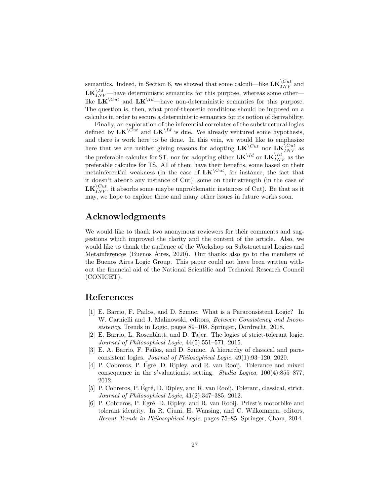semantics. Indeed, in Section 6, we showed that some calculi—like  $LK_{INV}^{\setminus Cut}$  and  $\mathbf{LK}_{INV}^{Vld}$  —have deterministic semantics for this purpose, whereas some other like  $\mathbf{L}\mathbf{K}^{\setminus Cut}$  and  $\mathbf{L}\mathbf{K}^{\setminus Id}$ —have non-deterministic semantics for this purpose. The question is, then, what proof-theoretic conditions should be imposed on a calculus in order to secure a deterministic semantics for its notion of derivability.

Finally, an exploration of the inferential correlates of the substructural logics defined by  $LK^{\setminus Cut}$  and  $LK^{\setminus Id}$  is due. We already ventured some hypothesis, and there is work here to be done. In this vein, we would like to emphasize here that we are neither giving reasons for adopting  $LK^{\setminus Cut}$  nor  $LK^{\setminus Cut}_{INV}$  as the preferable calculus for ST, nor for adopting either  $LK^{\setminus Id}$  or  $LK_{INV}^{\setminus Id}$  as the preferable calculus for TS. All of them have their benefits, some based on their metainferential weakness (in the case of  $LK^{\setminus Cut}$ , for instance, the fact that it doesn't absorb any instance of Cut), some on their strength (in the case of  $LK_{INV}^{\setminus Cut}$ , it absorbs some maybe unproblematic instances of Cut). Be that as it may, we hope to explore these and many other issues in future works soon.

# Acknowledgments

We would like to thank two anonymous reviewers for their comments and suggestions which improved the clarity and the content of the article. Also, we would like to thank the audience of the Workshop on Substructural Logics and Metainferences (Buenos Aires, 2020). Our thanks also go to the members of the Buenos Aires Logic Group. This paper could not have been written without the financial aid of the National Scientific and Technical Research Council (CONICET).

### References

- [1] E. Barrio, F. Pailos, and D. Szmuc. What is a Paraconsistent Logic? In W. Carnielli and J. Malinowski, editors, Between Consistency and Inconsistency, Trends in Logic, pages 89–108. Springer, Dordrecht, 2018.
- [2] E. Barrio, L. Rosenblatt, and D. Tajer. The logics of strict-tolerant logic. Journal of Philosophical Logic, 44(5):551–571, 2015.
- [3] E. A. Barrio, F. Pailos, and D. Szmuc. A hierarchy of classical and paraconsistent logics. Journal of Philosophical Logic, 49(1):93–120, 2020.
- [4] P. Cobreros, P. Egré, D. Ripley, and R. van Rooij. Tolerance and mixed consequence in the s'valuationist setting. Studia Logica, 100(4):855–877, 2012.
- [5] P. Cobreros, P. Égré, D. Ripley, and R. van Rooij. Tolerant, classical, strict. Journal of Philosophical Logic, 41(2):347–385, 2012.
- [6] P. Cobreros, P. Égré, D. Ripley, and R. van Rooij. Priest's motorbike and tolerant identity. In R. Ciuni, H. Wansing, and C. Wilkommen, editors, Recent Trends in Philosophical Logic, pages 75–85. Springer, Cham, 2014.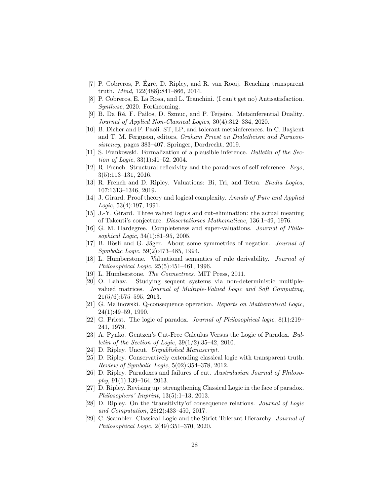- [7] P. Cobreros, P. Égré, D. Ripley, and R. van Rooij. Reaching transparent truth. Mind, 122(488):841–866, 2014.
- [8] P. Cobreros, E. La Rosa, and L. Tranchini. (I can't get no) Antisatisfaction. Synthese, 2020. Forthcoming.
- [9] B. Da R´e, F. Pailos, D. Szmuc, and P. Teijeiro. Metainferential Duality. Journal of Applied Non-Classical Logics, 30(4):312–334, 2020.
- [10] B. Dicher and F. Paoli. ST, LP, and tolerant metainferences. In C. Baskent and T. M. Ferguson, editors, Graham Priest on Dialetheism and Paraconsistency, pages 383–407. Springer, Dordrecht, 2019.
- [11] S. Frankowski. Formalization of a plausible inference. Bulletin of the Section of Logic, 33(1):41–52, 2004.
- [12] R. French. Structural reflexivity and the paradoxes of self-reference. Ergo, 3(5):113–131, 2016.
- [13] R. French and D. Ripley. Valuations: Bi, Tri, and Tetra. Studia Logica, 107:1313–1346, 2019.
- [14] J. Girard. Proof theory and logical complexity. Annals of Pure and Applied Logic, 53(4):197, 1991.
- [15] J.-Y. Girard. Three valued logics and cut-elimination: the actual meaning of Takeuti's conjecture. Dissertationes Mathematicae, 136:1–49, 1976.
- [16] G. M. Hardegree. Completeness and super-valuations. Journal of Philosophical Logic, 34(1):81–95, 2005.
- [17] B. Hösli and G. Jäger. About some symmetries of negation. *Journal of* Symbolic Logic, 59(2):473–485, 1994.
- [18] L. Humberstone. Valuational semantics of rule derivability. Journal of Philosophical Logic, 25(5):451–461, 1996.
- [19] L. Humberstone. The Connectives. MIT Press, 2011.
- [20] O. Lahav. Studying sequent systems via non-deterministic multiplevalued matrices. Journal of Multiple-Valued Logic and Soft Computing, 21(5/6):575–595, 2013.
- [21] G. Malinowski. Q-consequence operation. Reports on Mathematical Logic, 24(1):49–59, 1990.
- [22] G. Priest. The logic of paradox. Journal of Philosophical logic, 8(1):219– 241, 1979.
- [23] A. Pynko. Gentzen's Cut-Free Calculus Versus the Logic of Paradox. Bul*letin of the Section of Logic,*  $39(1/2):35-42$ , 2010.
- [24] D. Ripley. Uncut. Unpublished Manuscript.
- [25] D. Ripley. Conservatively extending classical logic with transparent truth. Review of Symbolic Logic, 5(02):354–378, 2012.
- [26] D. Ripley. Paradoxes and failures of cut. Australasian Journal of Philoso $phy, 91(1):139–164, 2013.$
- [27] D. Ripley. Revising up: strengthening Classical Logic in the face of paradox. Philosophers' Imprint, 13(5):1–13, 2013.
- [28] D. Ripley. On the 'transitivity'of consequence relations. Journal of Logic and Computation, 28(2):433–450, 2017.
- [29] C. Scambler. Classical Logic and the Strict Tolerant Hierarchy. Journal of Philosophical Logic, 2(49):351–370, 2020.